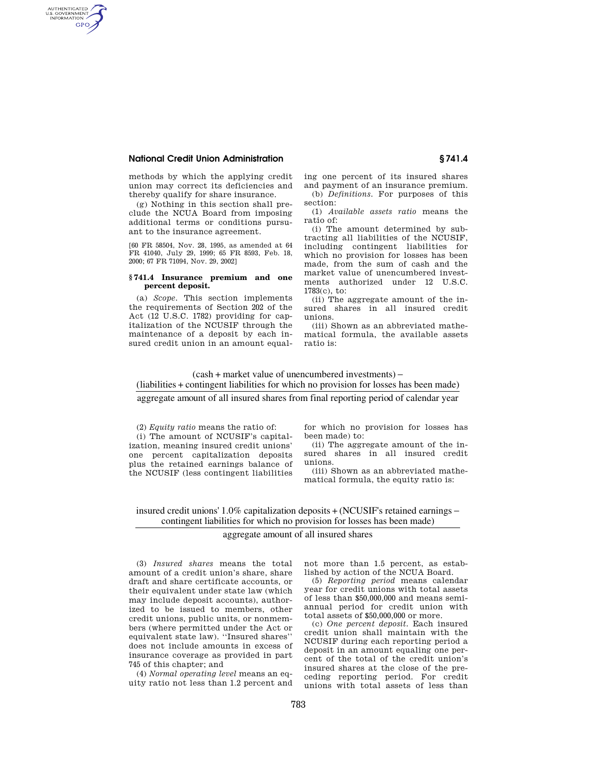# **National Credit Union Administration § 741.4**

AUTHENTICATED<br>U.S. GOVERNMENT<br>INFORMATION GPO

> methods by which the applying credit union may correct its deficiencies and thereby qualify for share insurance.

> (g) Nothing in this section shall preclude the NCUA Board from imposing additional terms or conditions pursuant to the insurance agreement.

> [60 FR 58504, Nov. 28, 1995, as amended at 64 FR 41040, July 29, 1999; 65 FR 8593, Feb. 18, 2000; 67 FR 71094, Nov. 29, 2002]

## **§ 741.4 Insurance premium and one percent deposit.**

(a) *Scope.* This section implements the requirements of Section 202 of the Act (12 U.S.C. 1782) providing for capitalization of the NCUSIF through the maintenance of a deposit by each insured credit union in an amount equaling one percent of its insured shares and payment of an insurance premium. (b) *Definitions.* For purposes of this section:

(1) *Available assets ratio* means the ratio of:

(i) The amount determined by subtracting all liabilities of the NCUSIF, including contingent liabilities for which no provision for losses has been made, from the sum of cash and the market value of unencumbered investments authorized under 12 U.S.C. 1783(c), to:

(ii) The aggregate amount of the insured shares in all insured credit unions.

(iii) Shown as an abbreviated mathematical formula, the available assets ratio is:

# ( cash + market value of unencumbered investments) − ( liabilities + contingent liabilities for which no provision for losses has been made)

aggregate amount of all insured shares from final reporting period of calendar year

(2) *Equity ratio* means the ratio of:

(i) The amount of NCUSIF's capitalization, meaning insured credit unions' one percent capitalization deposits plus the retained earnings balance of the NCUSIF (less contingent liabilities

for which no provision for losses has been made) to:

(ii) The aggregate amount of the insured shares in all insured credit unions.

(iii) Shown as an abbreviated mathematical formula, the equity ratio is:

insured credit unions' 1.0% capitalization deposits + (NCUSIF's retained earnings − contingent liabilities for which no provision for losses has been made)

## aggregate amount of all insured shares

(3) *Insured shares* means the total amount of a credit union's share, share draft and share certificate accounts, or their equivalent under state law (which may include deposit accounts), authorized to be issued to members, other credit unions, public units, or nonmembers (where permitted under the Act or equivalent state law). ''Insured shares'' does not include amounts in excess of insurance coverage as provided in part 745 of this chapter; and

(4) *Normal operating level* means an equity ratio not less than 1.2 percent and not more than 1.5 percent, as established by action of the NCUA Board.

(5) *Reporting period* means calendar year for credit unions with total assets of less than \$50,000,000 and means semiannual period for credit union with total assets of \$50,000,000 or more.

(c) *One percent deposit.* Each insured credit union shall maintain with the NCUSIF during each reporting period a deposit in an amount equaling one percent of the total of the credit union's insured shares at the close of the preceding reporting period. For credit unions with total assets of less than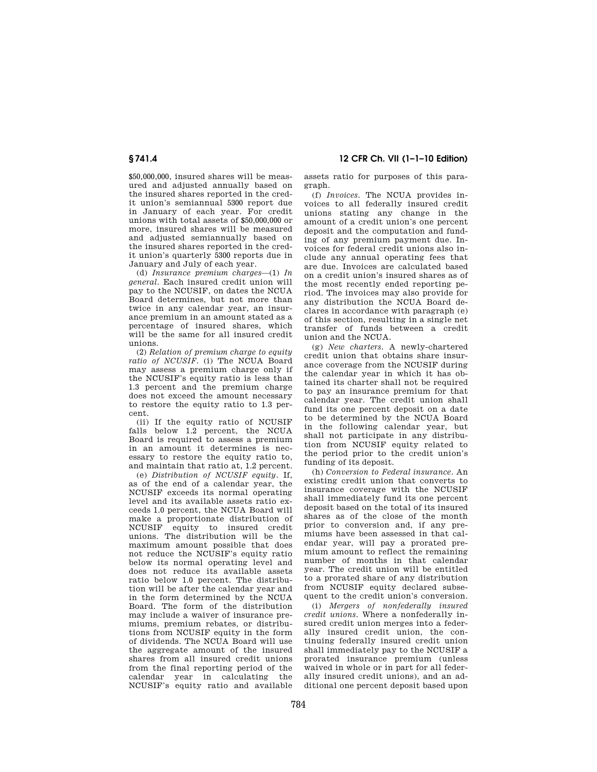# **§ 741.4 12 CFR Ch. VII (1–1–10 Edition)**

\$50,000,000, insured shares will be measured and adjusted annually based on the insured shares reported in the credit union's semiannual 5300 report due in January of each year. For credit unions with total assets of \$50,000,000 or more, insured shares will be measured and adjusted semiannually based on the insured shares reported in the credit union's quarterly 5300 reports due in January and July of each year.

(d) *Insurance premium charges*—(1) *In general.* Each insured credit union will pay to the NCUSIF, on dates the NCUA Board determines, but not more than twice in any calendar year, an insurance premium in an amount stated as a percentage of insured shares, which will be the same for all insured credit unions.

(2) *Relation of premium charge to equity ratio of NCUSIF.* (i) The NCUA Board may assess a premium charge only if the NCUSIF's equity ratio is less than 1.3 percent and the premium charge does not exceed the amount necessary to restore the equity ratio to 1.3 percent.

(ii) If the equity ratio of NCUSIF falls below 1.2 percent, the NCUA Board is required to assess a premium in an amount it determines is necessary to restore the equity ratio to, and maintain that ratio at, 1.2 percent.

(e) *Distribution of NCUSIF equity.* If, as of the end of a calendar year, the NCUSIF exceeds its normal operating level and its available assets ratio exceeds 1.0 percent, the NCUA Board will make a proportionate distribution of NCUSIF equity to insured credit unions. The distribution will be the maximum amount possible that does not reduce the NCUSIF's equity ratio below its normal operating level and does not reduce its available assets ratio below 1.0 percent. The distribution will be after the calendar year and in the form determined by the NCUA Board. The form of the distribution may include a waiver of insurance premiums, premium rebates, or distributions from NCUSIF equity in the form of dividends. The NCUA Board will use the aggregate amount of the insured shares from all insured credit unions from the final reporting period of the calendar year in calculating the NCUSIF's equity ratio and available

assets ratio for purposes of this paragraph.

(f) *Invoices.* The NCUA provides invoices to all federally insured credit unions stating any change in the amount of a credit union's one percent deposit and the computation and funding of any premium payment due. Invoices for federal credit unions also include any annual operating fees that are due. Invoices are calculated based on a credit union's insured shares as of the most recently ended reporting period. The invoices may also provide for any distribution the NCUA Board declares in accordance with paragraph (e) of this section, resulting in a single net transfer of funds between a credit union and the NCUA.

(g) *New charters.* A newly-chartered credit union that obtains share insurance coverage from the NCUSIF during the calendar year in which it has obtained its charter shall not be required to pay an insurance premium for that calendar year. The credit union shall fund its one percent deposit on a date to be determined by the NCUA Board in the following calendar year, but shall not participate in any distribution from NCUSIF equity related to the period prior to the credit union's funding of its deposit.

(h) *Conversion to Federal insurance.* An existing credit union that converts to insurance coverage with the NCUSIF shall immediately fund its one percent deposit based on the total of its insured shares as of the close of the month prior to conversion and, if any premiums have been assessed in that calendar year, will pay a prorated premium amount to reflect the remaining number of months in that calendar year. The credit union will be entitled to a prorated share of any distribution from NCUSIF equity declared subsequent to the credit union's conversion.

(i) *Mergers of nonfederally insured credit unions.* Where a nonfederally insured credit union merges into a federally insured credit union, the continuing federally insured credit union shall immediately pay to the NCUSIF a prorated insurance premium (unless waived in whole or in part for all federally insured credit unions), and an additional one percent deposit based upon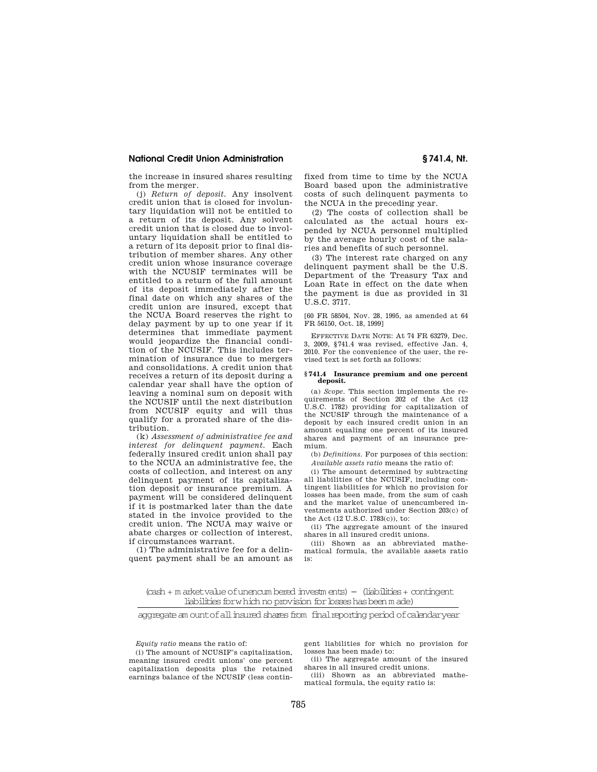## **National Credit Union Administration § 741.4, Nt.**

the increase in insured shares resulting from the merger.

(j) *Return of deposit.* Any insolvent credit union that is closed for involuntary liquidation will not be entitled to a return of its deposit. Any solvent credit union that is closed due to involuntary liquidation shall be entitled to a return of its deposit prior to final distribution of member shares. Any other credit union whose insurance coverage with the NCUSIF terminates will be entitled to a return of the full amount of its deposit immediately after the final date on which any shares of the credit union are insured, except that the NCUA Board reserves the right to delay payment by up to one year if it determines that immediate payment would jeopardize the financial condition of the NCUSIF. This includes termination of insurance due to mergers and consolidations. A credit union that receives a return of its deposit during a calendar year shall have the option of leaving a nominal sum on deposit with the NCUSIF until the next distribution from NCUSIF equity and will thus qualify for a prorated share of the distribution.

(k) *Assessment of administrative fee and interest for delinquent payment.* Each federally insured credit union shall pay to the NCUA an administrative fee, the costs of collection, and interest on any delinquent payment of its capitalization deposit or insurance premium. A payment will be considered delinquent if it is postmarked later than the date stated in the invoice provided to the credit union. The NCUA may waive or abate charges or collection of interest, if circumstances warrant.

(1) The administrative fee for a delinquent payment shall be an amount as fixed from time to time by the NCUA Board based upon the administrative costs of such delinquent payments to the NCUA in the preceding year.

(2) The costs of collection shall be calculated as the actual hours expended by NCUA personnel multiplied by the average hourly cost of the salaries and benefits of such personnel.

(3) The interest rate charged on any delinquent payment shall be the U.S. Department of the Treasury Tax and Loan Rate in effect on the date when the payment is due as provided in 31 U.S.C. 3717.

[60 FR 58504, Nov. 28, 1995, as amended at 64 FR 56150, Oct. 18, 1999]

EFFECTIVE DATE NOTE: At 74 FR 63279, Dec. 3, 2009, §741.4 was revised, effective Jan. 4, 2010. For the convenience of the user, the revised text is set forth as follows:

#### **§ 741.4 Insurance premium and one percent deposit.**

(a) *Scope.* This section implements the requirements of Section 202 of the Act (12 U.S.C. 1782) providing for capitalization of the NCUSIF through the maintenance of a deposit by each insured credit union in an amount equaling one percent of its insured shares and payment of an insurance premium.

(b) *Definitions.* For purposes of this section: *Available assets ratio* means the ratio of:

(i) The amount determined by subtracting all liabilities of the NCUSIF, including contingent liabilities for which no provision for losses has been made, from the sum of cash and the market value of unencumbered investments authorized under Section 203(c) of the Act (12 U.S.C. 1783(c)), to:

(ii) The aggregate amount of the insured shares in all insured credit unions.

(iii) Shown as an abbreviated mathematical formula, the available assets ratio is:

(cash + m arketvalue ofunencum bered investm ents) − (liabilities + contingent liabilities forwhich no provision for bsses has been m ade)

aggregate am ount of all insured shares from final reporting period of calendaryear

*Equity ratio* means the ratio of:

(i) The amount of NCUSIF's capitalization, meaning insured credit unions' one percent capitalization deposits plus the retained earnings balance of the NCUSIF (less contingent liabilities for which no provision for losses has been made) to:

(ii) The aggregate amount of the insured shares in all insured credit unions.

(iii) Shown as an abbreviated mathematical formula, the equity ratio is: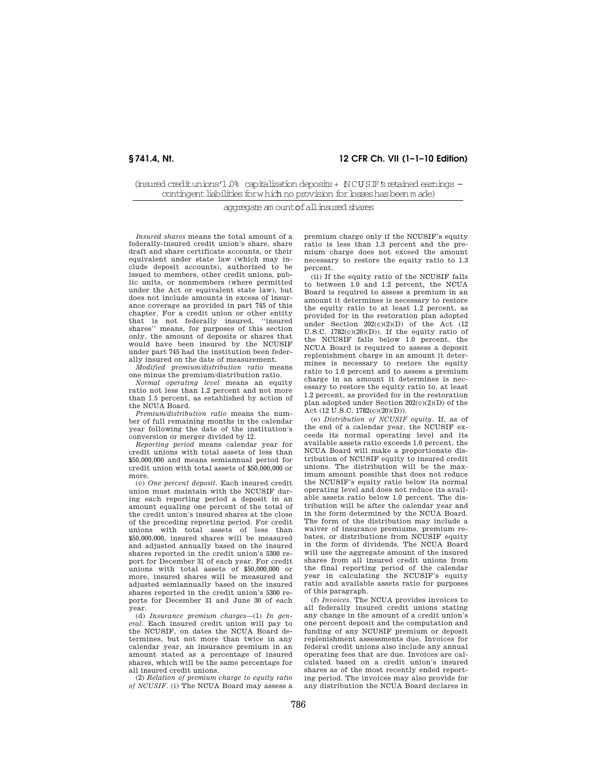## **§ 741.4, Nt. 12 CFR Ch. VII (1–1–10 Edition)**

(insured creditunions'1.0% capitalization deposits + (NCUSIF's retained earnings contingentliabilities forwhic <sup>−</sup> h no provision forlosses has been m ade)

aggregate am ount of all insured shares

*Insured shares* means the total amount of a federally-insured credit union's share, share draft and share certificate accounts, or their equivalent under state law (which may include deposit accounts), authorized to be issued to members, other credit unions, public units, or nonmembers (where permitted under the Act or equivalent state law), but does not include amounts in excess of insurance coverage as provided in part 745 of this chapter. For a credit union or other entity that is not federally insured, ''insured shares'' means, for purposes of this section only, the amount of deposits or shares that would have been insured by the NCUSIF under part 745 had the institution been federally insured on the date of measurement.

*Modified premium/distribution ratio* means one minus the premium/distribution ratio.

*Normal operating level* means an equity ratio not less than 1.2 percent and not more than 1.5 percent, as established by action of the NCUA Board.

*Premium/distribution ratio* means the number of full remaining months in the calendar year following the date of the institution's conversion or merger divided by 12.

*Reporting period* means calendar year for credit unions with total assets of less than \$50,000,000 and means semiannual period for credit union with total assets of \$50,000,000 or more.

(c) *One percent deposit.* Each insured credit union must maintain with the NCUSIF during each reporting period a deposit in an amount equaling one percent of the total of the credit union's insured shares at the close of the preceding reporting period. For credit unions with total assets of less than \$50,000,000, insured shares will be measured and adjusted annually based on the insured shares reported in the credit union's 5300 report for December 31 of each year. For credit unions with total assets of \$50,000,000 or more, insured shares will be measured and adjusted semiannually based on the insured shares reported in the credit union's 5300 reports for December 31 and June 30 of each year.

(d) *Insurance premium charges*—(1) *In general.* Each insured credit union will pay to the NCUSIF, on dates the NCUA Board determines, but not more than twice in any calendar year, an insurance premium in an amount stated as a percentage of insured shares, which will be the same percentage for all insured credit unions.

(2) *Relation of premium charge to equity ratio of NCUSIF.* (i) The NCUA Board may assess a premium charge only if the NCUSIF's equity ratio is less than 1.3 percent and the premium charge does not exceed the amount necessary to restore the equity ratio to 1.3 percent.

(ii) If the equity ratio of the NCUSIF falls to between 1.0 and 1.2 percent, the NCUA Board is required to assess a premium in an amount it determines is necessary to restore the equity ratio to at least 1.2 percent, as provided for in the restoration plan adopted under Section  $202(c)(2)(D)$  of the Act  $(12)$ U.S.C.  $1782(c)(20)(D)$ ). If the equity ratio of the NCUSIF falls below 1.0 percent, the NCUA Board is required to assess a deposit replenishment charge in an amount it determines is necessary to restore the equity ratio to 1.0 percent and to assess a premium charge in an amount it determines is necessary to restore the equity ratio to, at least 1.2 percent, as provided for in the restoration plan adopted under Section 202(c)(2)(D) of the Act (12 U.S.C. 1782(c)(20)(D)).

(e) *Distribution of NCUSIF equity.* If, as of the end of a calendar year, the NCUSIF exceeds its normal operating level and its available assets ratio exceeds 1.0 percent, the NCUA Board will make a proportionate distribution of NCUSIF equity to insured credit unions. The distribution will be the maximum amount possible that does not reduce the NCUSIF's equity ratio below its normal operating level and does not reduce its available assets ratio below 1.0 percent. The distribution will be after the calendar year and in the form determined by the NCUA Board. The form of the distribution may include a waiver of insurance premiums, premium rebates, or distributions from NCUSIF equity in the form of dividends. The NCUA Board will use the aggregate amount of the insured shares from all insured credit unions from the final reporting period of the calendar year in calculating the NCUSIF's equity ratio and available assets ratio for purposes of this paragraph.

(f) *Invoices.* The NCUA provides invoices to all federally insured credit unions stating any change in the amount of a credit union's one percent deposit and the computation and funding of any NCUSIF premium or deposit replenishment assessments due. Invoices for federal credit unions also include any annual operating fees that are due. Invoices are calculated based on a credit union's insured shares as of the most recently ended reporting period. The invoices may also provide for any distribution the NCUA Board declares in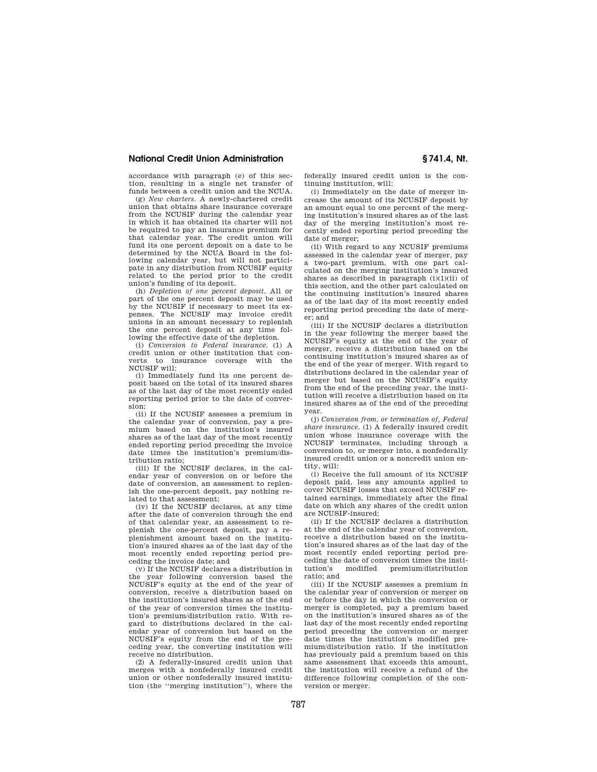## **National Credit Union Administration § 741.4, Nt.**

accordance with paragraph (e) of this section, resulting in a single net transfer of funds between a credit union and the NCUA.

(g) *New charters.* A newly-chartered credit union that obtains share insurance coverage from the NCUSIF during the calendar year in which it has obtained its charter will not be required to pay an insurance premium for that calendar year. The credit union will fund its one percent deposit on a date to be determined by the NCUA Board in the following calendar year, but will not participate in any distribution from NCUSIF equity related to the period prior to the credit union's funding of its deposit.

(h) *Depletion of one percent deposit.* All or part of the one percent deposit may be used by the NCUSIF if necessary to meet its expenses. The NCUSIF may invoice credit unions in an amount necessary to replenish the one percent deposit at any time following the effective date of the depletion.

(i) *Conversion to Federal insurance.* (1) A credit union or other institution that converts to insurance coverage NCUSIF will:

(i) Immediately fund its one percent deposit based on the total of its insured shares as of the last day of the most recently ended reporting period prior to the date of conversion;

(ii) If the NCUSIF assesses a premium in the calendar year of conversion, pay a premium based on the institution's insured shares as of the last day of the most recently ended reporting period preceding the invoice date times the institution's premium/distribution ratio;

(iii) If the NCUSIF declares, in the calendar year of conversion on or before the date of conversion, an assessment to replenish the one-percent deposit, pay nothing related to that assessment;

(iv) If the NCUSIF declares, at any time after the date of conversion through the end of that calendar year, an assessment to replenish the one-percent deposit, pay a replenishment amount based on the institution's insured shares as of the last day of the most recently ended reporting period preceding the invoice date; and

(v) If the NCUSIF declares a distribution in year following conversion based the NCUSIF's equity at the end of the year of conversion, receive a distribution based on the institution's insured shares as of the end of the year of conversion times the institution's premium/distribution ratio. With regard to distributions declared in the calendar year of conversion but based on the NCUSIF's equity from the end of the preceding year, the converting institution will receive no distribution.

(2) A federally-insured credit union that merges with a nonfederally insured credit union or other nonfederally insured institution (the ''merging institution''), where the

federally insured credit union is the continuing institution, will:

(i) Immediately on the date of merger increase the amount of its NCUSIF deposit by an amount equal to one percent of the merging institution's insured shares as of the last day of the merging institution's most recently ended reporting period preceding the date of merger;

(ii) With regard to any NCUSIF premiums assessed in the calendar year of merger, pay a two-part premium, with one part calculated on the merging institution's insured shares as described in paragraph  $(i)(1)(ii)$  of this section, and the other part calculated on the continuing institution's insured shares as of the last day of its most recently ended reporting period preceding the date of merger; and

(iii) If the NCUSIF declares a distribution in the year following the merger based the NCUSIF's equity at the end of the year of merger, receive a distribution based on the continuing institution's insured shares as of the end of the year of merger. With regard to distributions declared in the calendar year of merger but based on the NCUSIF's equity from the end of the preceding year, the institution will receive a distribution based on its insured shares as of the end of the preceding year.

(j) *Conversion from, or termination of, Federal share insurance.* (1) A federally insured credit union whose insurance coverage with the NCUSIF terminates, including through a conversion to, or merger into, a nonfederally insured credit union or a noncredit union entity, will:

(i) Receive the full amount of its NCUSIF deposit paid, less any amounts applied to cover NCUSIF losses that exceed NCUSIF retained earnings, immediately after the final date on which any shares of the credit union are NCUSIF-insured;

(ii) If the NCUSIF declares a distribution at the end of the calendar year of conversion, receive a distribution based on the institution's insured shares as of the last day of the most recently ended reporting period preceding the date of conversion times the institution's modified premium/distribution ratio; and

(iii) If the NCUSIF assesses a premium in the calendar year of conversion or merger on or before the day in which the conversion or merger is completed, pay a premium based on the institution's insured shares as of the last day of the most recently ended reporting period preceding the conversion or merger date times the institution's modified premium/distribution ratio. If the institution has previously paid a premium based on this same assessment that exceeds this amount, the institution will receive a refund of the difference following completion of the conversion or merger.